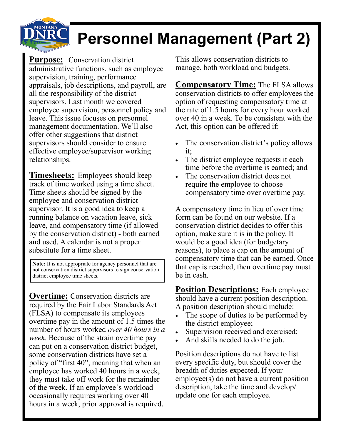

## **Personnel Management (Part 2)**

**Purpose:** Conservation district administrative functions, such as employee supervision, training, performance appraisals, job descriptions, and payroll, are all the responsibility of the district supervisors. Last month we covered employee supervision, personnel policy and leave. This issue focuses on personnel management documentation. We'll also offer other suggestions that district supervisors should consider to ensure effective employee/supervisor working relationships.

**Timesheets:** Employees should keep track of time worked using a time sheet. Time sheets should be signed by the employee and conservation district supervisor. It is a good idea to keep a running balance on vacation leave, sick leave, and compensatory time (if allowed by the conservation district) - both earned and used. A calendar is not a proper substitute for a time sheet.

**Note:** It is not appropriate for agency personnel that are not conservation district supervisors to sign conservation district employee time sheets.

**Overtime:** Conservation districts are required by the Fair Labor Standards Act (FLSA) to compensate its employees overtime pay in the amount of 1.5 times the number of hours worked *over 40 hours in a week.* Because of the strain overtime pay can put on a conservation district budget, some conservation districts have set a policy of "first 40", meaning that when an employee has worked 40 hours in a week, they must take off work for the remainder of the week. If an employee's workload occasionally requires working over 40 hours in a week, prior approval is required.

This allows conservation districts to manage, both workload and budgets.

**Compensatory Time:** The FLSA allows conservation districts to offer employees the option of requesting compensatory time at the rate of 1.5 hours for every hour worked over 40 in a week. To be consistent with the Act, this option can be offered if:

- The conservation district's policy allows it;
- The district employee requests it each time before the overtime is earned; and
- The conservation district does not require the employee to choose compensatory time over overtime pay.

A compensatory time in lieu of over time form can be found on our website. If a conservation district decides to offer this option, make sure it is in the policy. It would be a good idea (for budgetary reasons), to place a cap on the amount of compensatory time that can be earned. Once that cap is reached, then overtime pay must be in cash.

**Position Descriptions:** Each employee should have a current position description. A position description should include:

- The scope of duties to be performed by the district employee;
- Supervision received and exercised;
- And skills needed to do the job.

Position descriptions do not have to list every specific duty, but should cover the breadth of duties expected. If your employee(s) do not have a current position description, take the time and develop/ update one for each employee.